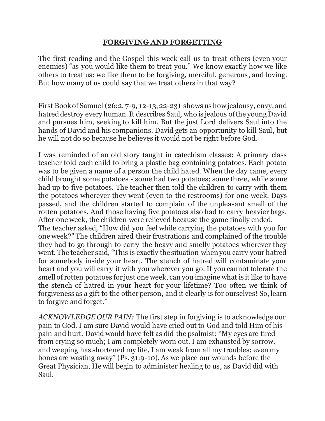## **FORGIVING AND FORGETTING**

The first reading and the Gospel this week call us to treat others (even your enemies) "as you would like them to treat you." We know exactly how we like others to treat us: we like them to be forgiving, merciful, generous, and loving. But how many of us could say that we treat others in that way?

First Book of Samuel (26:2, 7-9, 12-13, 22-23) shows us how jealousy, envy, and hatred destroy every human. It describes Saul, who is jealous of the young David and pursues him, seeking to kill him. But the just Lord delivers Saul into the hands of David and his companions. David gets an opportunity to kill Saul, but he will not do so because he believes it would not be right before God.

I was reminded of an old story taught in catechism classes: A primary class teacher told each child to bring a plastic bag containing potatoes. Each potato was to be given a name of a person the child hated. When the day came, every child brought some potatoes - some had two potatoes; some three, while some had up to five potatoes. The teacher then told the children to carry with them the potatoes wherever they went (even to the restrooms) for one week. Days passed, and the children started to complain of the unpleasant smell of the rotten potatoes. And those having five potatoes also had to carry heavier bags. After one week, the children were relieved because the game finally ended. The teacher asked, "How did you feel while carrying the potatoes with you for one week?" The children aired their frustrations and complained of the trouble they had to go through to carry the heavy and smelly potatoes wherever they went. The teacher said, "This is exactly the situation when you carry your hatred for somebody inside your heart. The stench of hatred will contaminate your heart and you will carry it with you wherever you go. If you cannot tolerate the smell of rotten potatoes for just one week, can you imagine what is it like to have the stench of hatred in your heart for your lifetime? Too often we think of forgiveness as a gift to the other person, and it clearly is for ourselves! So, learn to forgive and forget."

*ACKNOWLEDGE OUR PAIN:* The first step in forgiving is to acknowledge our pain to God. I am sure David would have cried out to God and told Him of his pain and hurt. David would have felt as did the psalmist: "My eyes are tired from crying so much; I am completely worn out. I am exhausted by sorrow, and weeping has shortened my life, I am weak from all my troubles; even my bones are wasting away" (Ps. 31:9-10). As we place our wounds before the Great Physician, He will begin to administer healing to us, as David did with Saul.